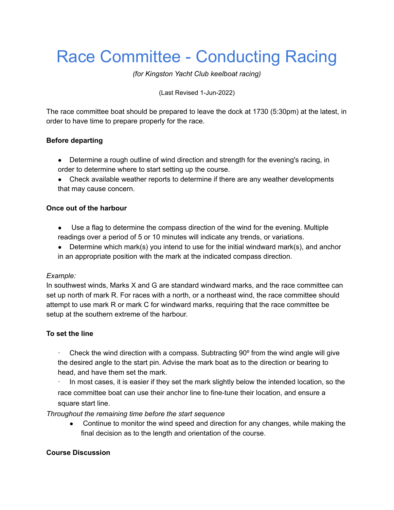# Race Committee - Conducting Racing

*(for Kingston Yacht Club keelboat racing)*

(Last Revised 1-Jun-2022)

The race committee boat should be prepared to leave the dock at 1730 (5:30pm) at the latest, in order to have time to prepare properly for the race.

## **Before departing**

- Determine a rough outline of wind direction and strength for the evening's racing, in order to determine where to start setting up the course.
- Check available weather reports to determine if there are any weather developments that may cause concern.

### **Once out of the harbour**

- Use a flag to determine the compass direction of the wind for the evening. Multiple readings over a period of 5 or 10 minutes will indicate any trends, or variations.
- Determine which mark(s) you intend to use for the initial windward mark(s), and anchor in an appropriate position with the mark at the indicated compass direction.

#### *Example:*

In southwest winds, Marks X and G are standard windward marks, and the race committee can set up north of mark R. For races with a north, or a northeast wind, the race committee should attempt to use mark R or mark C for windward marks, requiring that the race committee be setup at the southern extreme of the harbour.

#### **To set the line**

Check the wind direction with a compass. Subtracting  $90^{\circ}$  from the wind angle will give the desired angle to the start pin. Advise the mark boat as to the direction or bearing to head, and have them set the mark.

In most cases, it is easier if they set the mark slightly below the intended location, so the race committee boat can use their anchor line to fine-tune their location, and ensure a square start line.

*Throughout the remaining time before the start sequence*

• Continue to monitor the wind speed and direction for any changes, while making the final decision as to the length and orientation of the course.

#### **Course Discussion**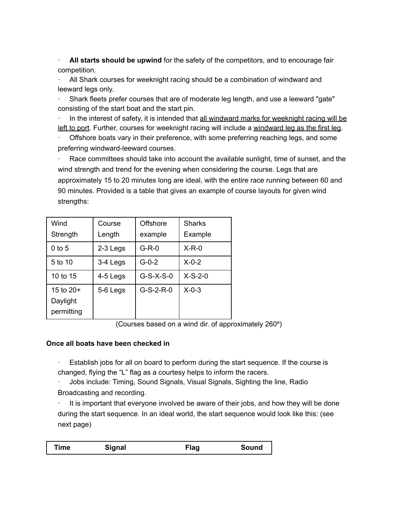· **All starts should be upwind** for the safety of the competitors, and to encourage fair competition.

· All Shark courses for weeknight racing should be a combination of windward and leeward legs only.

· Shark fleets prefer courses that are of moderate leg length, and use a leeward "gate" consisting of the start boat and the start pin.

In the interest of safety, it is intended that all windward marks for weeknight racing will be left to port. Further, courses for weeknight racing will include a windward leg as the first leg.

Offshore boats vary in their preference, with some preferring reaching legs, and some preferring windward-leeward courses.

Race committees should take into account the available sunlight, time of sunset, and the wind strength and trend for the evening when considering the course. Legs that are approximately 15 to 20 minutes long are ideal, with the entire race running between 60 and 90 minutes. Provided is a table that gives an example of course layouts for given wind strengths:

| Wind<br>Strength                      | Course<br>Length | Offshore<br>example | <b>Sharks</b><br>Example |
|---------------------------------------|------------------|---------------------|--------------------------|
| $0$ to 5                              | 2-3 Legs         | $G-R-0$             | $X-R-0$                  |
| 5 to 10                               | 3-4 Legs         | $G - 0 - 2$         | $X-0-2$                  |
| 10 to 15                              | 4-5 Legs         | $G-S-X-S-0$         | $X-S-2-0$                |
| 15 to $20+$<br>Daylight<br>permitting | 5-6 Legs         | $G-S-2-R-0$         | $X - 0 - 3$              |

(Courses based on a wind dir. of approximately 260º)

#### **Once all boats have been checked in**

Establish jobs for all on board to perform during the start sequence. If the course is changed, flying the "L" flag as a courtesy helps to inform the racers.

· Jobs include: Timing, Sound Signals, Visual Signals, Sighting the line, Radio Broadcasting and recording.

It is important that everyone involved be aware of their jobs, and how they will be done during the start sequence. In an ideal world, the start sequence would look like this: (see next page)

| Time | Signal | Flag | Sound |
|------|--------|------|-------|
|------|--------|------|-------|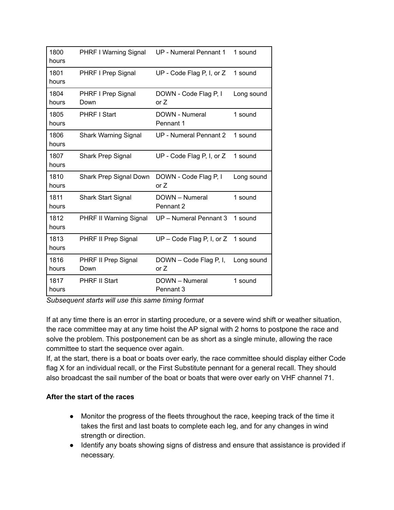| 1800<br>hours | PHRF I Warning Signal              | UP - Numeral Pennant 1           | 1 sound    |
|---------------|------------------------------------|----------------------------------|------------|
| 1801<br>hours | PHRF I Prep Signal                 | UP - Code Flag P, I, or Z        | 1 sound    |
| 1804<br>hours | PHRF I Prep Signal<br>Down         | DOWN - Code Flag P, I<br>or $Z$  | Long sound |
| 1805<br>hours | <b>PHRF I Start</b>                | DOWN - Numeral<br>Pennant 1      | 1 sound    |
| 1806<br>hours | <b>Shark Warning Signal</b>        | UP - Numeral Pennant 2           | 1 sound    |
| 1807<br>hours | <b>Shark Prep Signal</b>           | UP - Code Flag P, I, or Z        | 1 sound    |
| 1810<br>hours | Shark Prep Signal Down             | DOWN - Code Flag P, I<br>or Z    | Long sound |
| 1811<br>hours | <b>Shark Start Signal</b>          | DOWN - Numeral<br>Pennant 2      | 1 sound    |
| 1812<br>hours | PHRF II Warning Signal             | UP - Numeral Pennant 3           | 1 sound    |
| 1813<br>hours | PHRF II Prep Signal                | $UP$ – Code Flag P, I, or Z      | 1 sound    |
| 1816<br>hours | <b>PHRF II Prep Signal</b><br>Down | DOWN – Code Flag P, I,<br>or $Z$ | Long sound |
| 1817<br>hours | <b>PHRF II Start</b>               | DOWN - Numeral<br>Pennant 3      | 1 sound    |

*Subsequent starts will use this same timing format*

If at any time there is an error in starting procedure, or a severe wind shift or weather situation, the race committee may at any time hoist the AP signal with 2 horns to postpone the race and solve the problem. This postponement can be as short as a single minute, allowing the race committee to start the sequence over again.

If, at the start, there is a boat or boats over early, the race committee should display either Code flag X for an individual recall, or the First Substitute pennant for a general recall. They should also broadcast the sail number of the boat or boats that were over early on VHF channel 71.

## **After the start of the races**

- Monitor the progress of the fleets throughout the race, keeping track of the time it takes the first and last boats to complete each leg, and for any changes in wind strength or direction.
- Identify any boats showing signs of distress and ensure that assistance is provided if necessary.